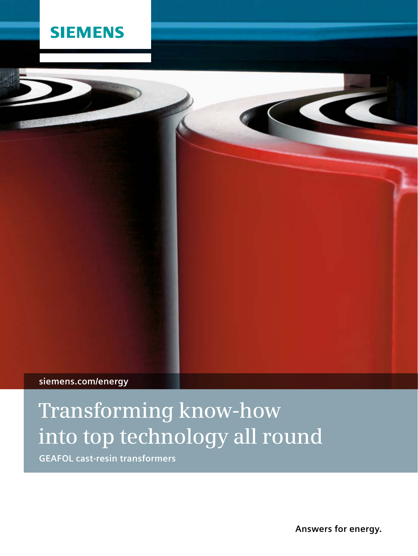## **SIEMENS**

### **siemens.com/energy**

## **Transforming know-how into top technology all round**

**GEAFOL cast-resin transformers** 

**Answers for energy.**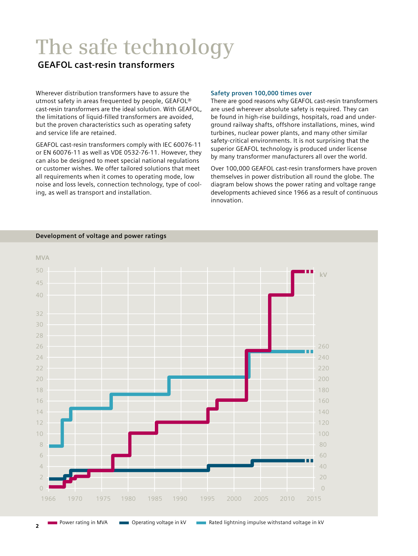# **The safe technology**

### **GEAFOL cast-resin transformers**

Wherever distribution transformers have to assure the utmost safety in areas frequented by people, GEAFOL® cast-resin transformers are the ideal solution. With GEAFOL, the limitations of liquid-filled transformers are avoided, but the proven characteristics such as operating safety and service life are retained.

GEAFOL cast-resin transformers comply with IEC 60076-11 or EN 60076-11 as well as VDE 0532-76-11. However, they can also be designed to meet special national regulations or customer wishes. We offer tailored solutions that meet all requirements when it comes to operating mode, low noise and loss levels, connection technology, type of cooling, as well as transport and installation.

#### **Safety proven 100,000 times over**

There are good reasons why GEAFOL cast-resin transformers are used wherever absolute safety is required. They can be found in high-rise buildings, hospitals, road and underground railway shafts, offshore installations, mines, wind turbines, nuclear power plants, and many other similar safety-critical environments. It is not surprising that the superior GEAFOL technology is produced under license by many transformer manufacturers all over the world.

Over 100,000 GEAFOL cast-resin transformers have proven themselves in power distribution all round the globe. The diagram below shows the power rating and voltage range developments achieved since 1966 as a result of continuous innovation.

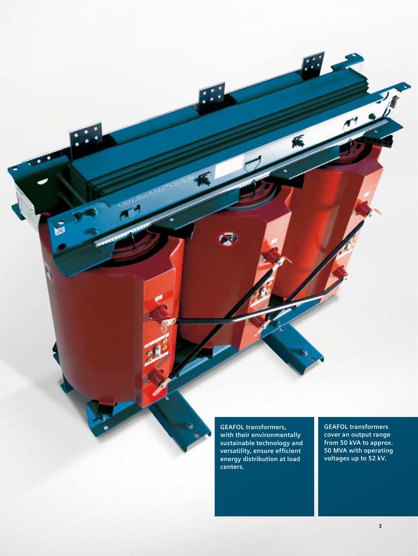**GEAFOL transformers, with their environmentally sustainable technology and versatility, ensure efficient energy distribution at load centers.**

**GEAFOL transformers cover an output range from 50 kVA to approx. 50 MVA with operating voltages up to 52 kV.**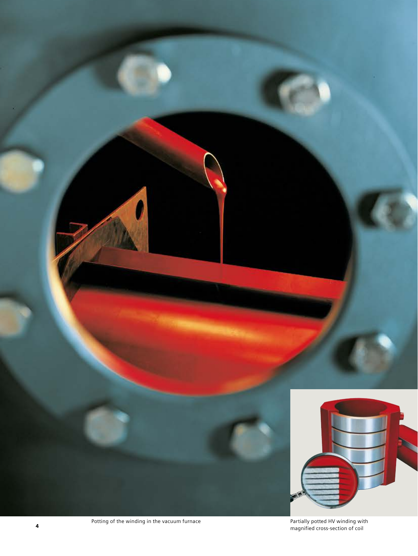

Potting of the winding in the vacuum furnace **Partially potted HV winding with AV** winding with the vacuum furnace<br>**4** Partially potted HV winding with the vacuum furnace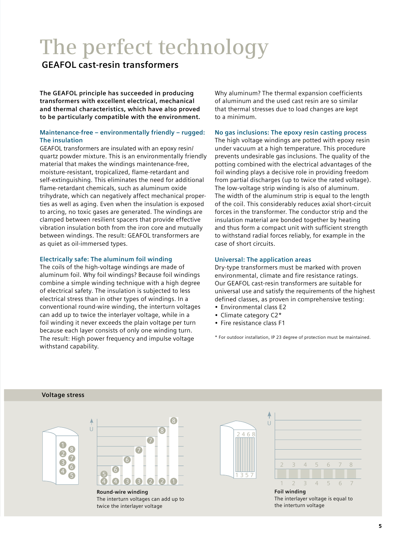## **The perfect technology**

### **GEAFOL cast-resin transformers**

**The GEAFOL principle has succeeded in producing transformers with excellent electrical, mechanical and thermal characteristics, which have also proved to be particularly compatible with the environment.**

#### **Maintenance-free – environmentally friendly – rugged: The insulation**

GEAFOL transformers are insulated with an epoxy resin/ quartz powder mixture. This is an environmentally friendly material that makes the windings maintenance-free, moisture-resistant, tropicalized, flame-retardant and self-extinguishing. This eliminates the need for additional flame-retardant chemicals, such as aluminum oxide trihydrate, which can negatively affect mechanical properties as well as aging. Even when the insulation is exposed to arcing, no toxic gases are generated. The windings are clamped between resilient spacers that provide effective vibration insulation both from the iron core and mutually between windings. The result: GEAFOL transformers are as quiet as oil-immersed types.

#### **Electrically safe: The aluminum foil winding**

The coils of the high-voltage windings are made of aluminum foil. Why foil windings? Because foil windings combine a simple winding technique with a high degree of electrical safety. The insulation is subjected to less electrical stress than in other types of windings. In a conventional round-wire winding, the interturn voltages can add up to twice the interlayer voltage, while in a foil winding it never exceeds the plain voltage per turn because each layer consists of only one winding turn. The result: High power frequency and impulse voltage withstand capability.

Why aluminum? The thermal expansion coefficients of aluminum and the used cast resin are so similar that thermal stresses due to load changes are kept to a minimum.

#### **No gas inclusions: The epoxy resin casting process**

The high voltage windings are potted with epoxy resin under vacuum at a high temperature. This procedure prevents undesirable gas inclusions. The quality of the potting combined with the electrical advantages of the foil winding plays a decisive role in providing freedom from partial discharges (up to twice the rated voltage). The low-voltage strip winding is also of aluminum. The width of the aluminum strip is equal to the length of the coil. This considerably reduces axial short-circuit forces in the transformer. The conductor strip and the insulation material are bonded together by heating and thus form a compact unit with sufficient strength to withstand radial forces reliably, for example in the case of short circuits.

#### **Universal: The application areas**

Dry-type transformers must be marked with proven environmental, climate and fire resistance ratings. Our GEAFOL cast-resin transformers are suitable for universal use and satisfy the requirements of the highest defined classes, as proven in comprehensive testing:

- Environmental class E2
- Climate category C2\*
- Fire resistance class F1

\* For outdoor installation, IP 23 degree of protection must be maintained.

#### **Voltage stress**





**Round-wire winding** The interturn voltages can add up to twice the interlayer voltage





The interlayer voltage is equal to the interturn voltage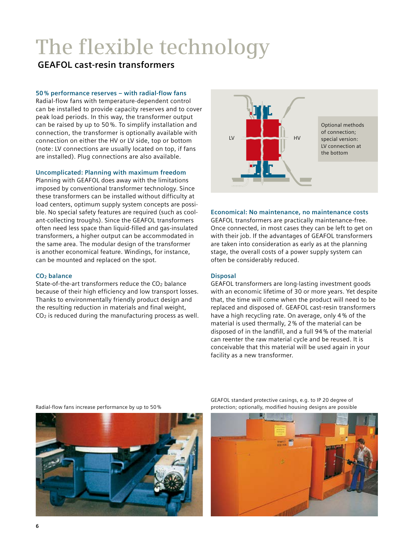# **The flexible technology**

### **GEAFOL cast-resin transformers**

#### **50 % performance reserves – with radial-flow fans**

Radial-flow fans with temperature-dependent control can be installed to provide capacity reserves and to cover peak load periods. In this way, the transformer output can be raised by up to 50 %. To simplify installation and connection, the transformer is optionally available with connection on either the HV or LV side, top or bottom (note: LV connections are usually located on top, if fans are installed). Plug connections are also available.

#### **Uncomplicated: Planning with maximum freedom**

Planning with GEAFOL does away with the limitations imposed by conventional transformer technology. Since these transformers can be installed without difficulty at load centers, optimum supply system concepts are possible. No special safety features are required (such as coolant-collecting troughs). Since the GEAFOL transformers often need less space than liquid-filled and gas-insulated transformers, a higher output can be accommodated in the same area. The modular design of the transformer is another economical feature. Windings, for instance, can be mounted and replaced on the spot.

#### **CO2 balance**

State-of-the-art transformers reduce the CO<sub>2</sub> balance because of their high efficiency and low transport losses. Thanks to environmentally friendly product design and the resulting reduction in materials and final weight,  $CO<sub>2</sub>$  is reduced during the manufacturing process as well.



#### **Economical: No maintenance, no maintenance costs**

GEAFOL transformers are practically maintenance-free. Once connected, in most cases they can be left to get on with their job. If the advantages of GEAFOL transformers are taken into consideration as early as at the planning stage, the overall costs of a power supply system can often be considerably reduced.

#### **Disposal**

GEAFOL transformers are long-lasting investment goods with an economic lifetime of 30 or more years. Yet despite that, the time will come when the product will need to be replaced and disposed of. GEAFOL cast-resin transformers have a high recycling rate. On average, only 4 % of the material is used thermally, 2 % of the material can be disposed of in the landfill, and a full 94 % of the material can reenter the raw material cycle and be reused. It is conceivable that this material will be used again in your facility as a new transformer.

Radial-flow fans increase performance by up to 50 %



GEAFOL standard protective casings, e.g. to IP 20 degree of protection; optionally, modified housing designs are possible

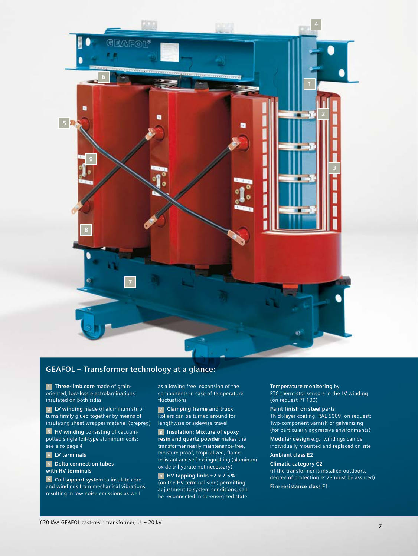

#### **GEAFOL – Transformer technology at a glance:**

**1 Three-limb core** made of grainoriented, low-loss electrolaminations insulated on both sides

**2 LV winding** made of aluminum strip; turns firmly glued together by means of insulating sheet wrapper material (prepreg)

**3 HV winding** consisting of vacuumpotted single foil-type aluminum coils; see also page 4

**4 LV terminals**

**5 Delta connection tubes with HV terminals**

**6 Coil support system** to insulate core and windings from mechanical vibrations, resulting in low noise emissions as well

as allowing free expansion of the components in case of temperature fluctuations

**7 Clamping frame and truck** Rollers can be turned around for lengthwise or sidewise travel

**8 Insulation: Mixture of epoxy resin and quartz powder** makes the transformer nearly maintenance-free, moisture-proof, tropicalized, flameresistant and self-extinguishing (aluminum oxide trihydrate not necessary)

**9 HV tapping links ±2 x 2,5 %** (on the HV terminal side) permitting adjustment to system conditions; can be reconnected in de-energized state

**Temperature monitoring** by PTC thermistor sensors in the LV winding (on request PT 100)

#### **Paint finish on steel parts**

Thick-layer coating, RAL 5009, on request: Two-component varnish or galvanizing (for particularly aggressive environments)

**Modular design** e.g., windings can be individually mounted and replaced on site

#### **Ambient class E2**

**Climatic category C2** (if the transformer is installed outdoors, degree of protection IP 23 must be assured)

**Fire resistance class F1**